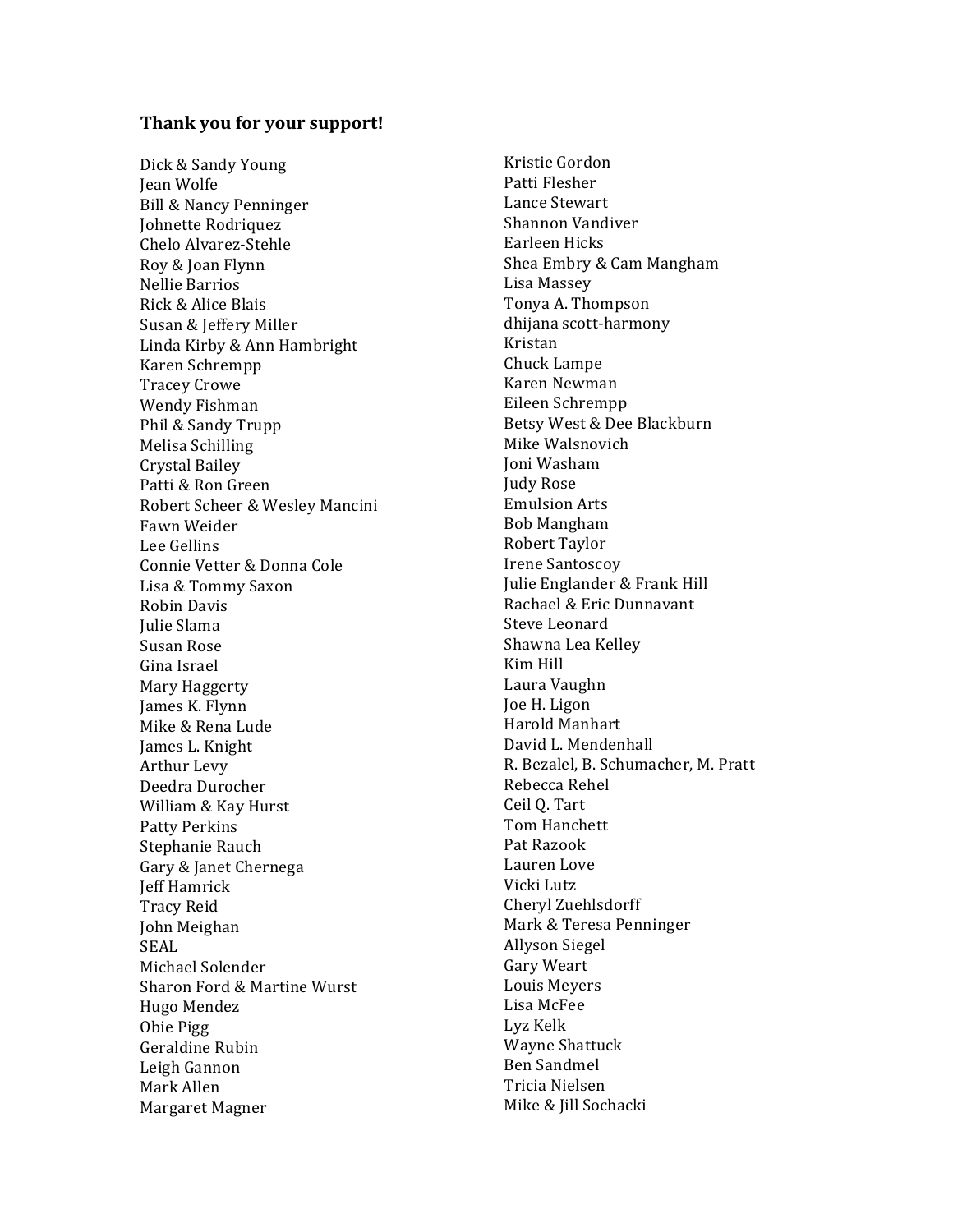## Thank you for your support!

Dick & Sandy Young **Iean Wolfe** Bill & Nancy Penninger **Johnette Rodriquez** Chelo Alvarez-Stehle Roy & Joan Flynn Nellie Barrios Rick & Alice Blais Susan & Jeffery Miller Linda Kirby & Ann Hambright Karen Schrempp **Tracey Crowe** Wendy Fishman Phil & Sandy Trupp Melisa Schilling Crystal Bailey Patti & Ron Green Robert Scheer & Wesley Mancini Fawn Weider Lee Gellins Connie Vetter & Donna Cole Lisa & Tommy Saxon Robin Davis **Iulie Slama** Susan Rose Gina Israel Mary Haggerty James K. Flynn Mike & Rena Lude James L. Knight **Arthur Levy** Deedra Durocher William & Kay Hurst **Patty Perkins** Stephanie Rauch Gary & Janet Chernega **Jeff Hamrick Tracy Reid** John Meighan SEAL. Michael Solender Sharon Ford & Martine Wurst Hugo Mendez Obie Pigg Geraldine Rubin Leigh Gannon Mark Allen Margaret Magner

Kristie Gordon Patti Flesher Lance Stewart Shannon Vandiver Earleen Hicks Shea Embry & Cam Mangham Lisa Massey Tonya A. Thompson dhijana scott-harmony Kristan Chuck Lampe Karen Newman Eileen Schrempp Betsy West & Dee Blackburn Mike Walsnovich Ioni Washam **Judy Rose Emulsion Arts Bob Mangham** Robert Taylor **Irene Santoscoy** Julie Englander & Frank Hill Rachael & Eric Dunnavant **Steve Leonard** Shawna Lea Kellev Kim Hill Laura Vaughn Joe H. Ligon Harold Manhart David L. Mendenhall R. Bezalel, B. Schumacher, M. Pratt Rebecca Rehel Ceil O. Tart Tom Hanchett Pat Razook Lauren Love Vicki Lutz Cheryl Zuehlsdorff Mark & Teresa Penninger Allyson Siegel Gary Weart Louis Mevers Lisa McFee Lyz Kelk **Wayne Shattuck Ben Sandmel** Tricia Nielsen Mike & Jill Sochacki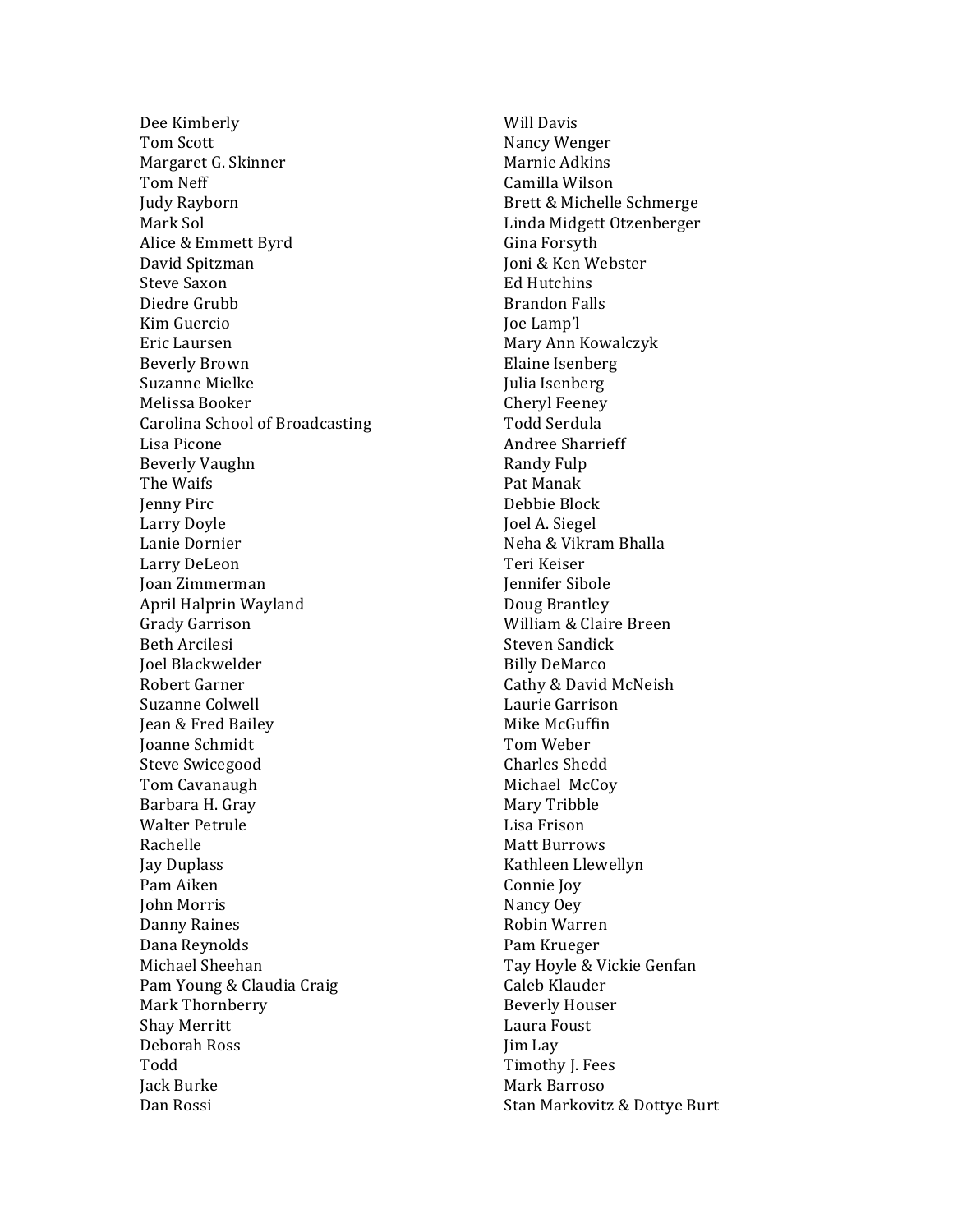Dee Kimberly Tom!Scott Margaret G. Skinner Tom!Neff Judy Rayborn Mark Sol Alice & Emmett Byrd David!Spitzman Steve Saxon Diedre Grubb Kim!Guercio Eric!Laursen Beverly!Brown Suzanne Mielke Melissa Booker Carolina School of Broadcasting Lisa Picone Beverly!Vaughn The Waifs Jenny Pirc Larry!Doyle Lanie Dornier Larry!DeLeon Joan!Zimmerman April!Halprin!Wayland Grady!Garrison Beth!Arcilesi Joel!Blackwelder Robert!Garner Suzanne Colwell Jean & Fred Bailey Joanne Schmidt Steve Swicegood Tom!Cavanaugh Barbara H. Gray Walter Petrule Rachelle Jay Duplass Pam!Aiken John!Morris Danny Raines Dana!Reynolds Michael Sheehan Pam Young & Claudia Craig Mark Thornberry Shay!Merritt Deborah!Ross Todd Jack Burke Dan Rossi

Will Davis Nancy!Wenger Marnie Adkins Camilla!Wilson Brett & Michelle Schmerge Linda Midgett Otzenberger Gina Forsyth Ioni & Ken Webster Ed Hutchins Brandon!Falls Joe Lamp'l Mary!Ann!Kowalczyk Elaine Isenberg Julia Isenberg Cheryl Feeney Todd!Serdula Andree Sharrieff Randy Fulp Pat!Manak Debbie Block Joel A. Siegel Neha & Vikram Bhalla Teri!Keiser Jennifer Sibole Doug Brantley William & Claire Breen Steven Sandick Billy!DeMarco Cathy & David McNeish Laurie!Garrison Mike McGuffin Tom!Weber Charles Shedd Michael McCoy Mary Tribble Lisa Frison **Matt Burrows** Kathleen Llewellyn Connie Joy Nancy!Oey Robin!Warren Pam!Krueger Tay Hoyle & Vickie Genfan Caleb Klauder Beverly!Houser Laura Foust Jim Lay Timothy J. Fees Mark!Barroso Stan Markovitz & Dottye Burt